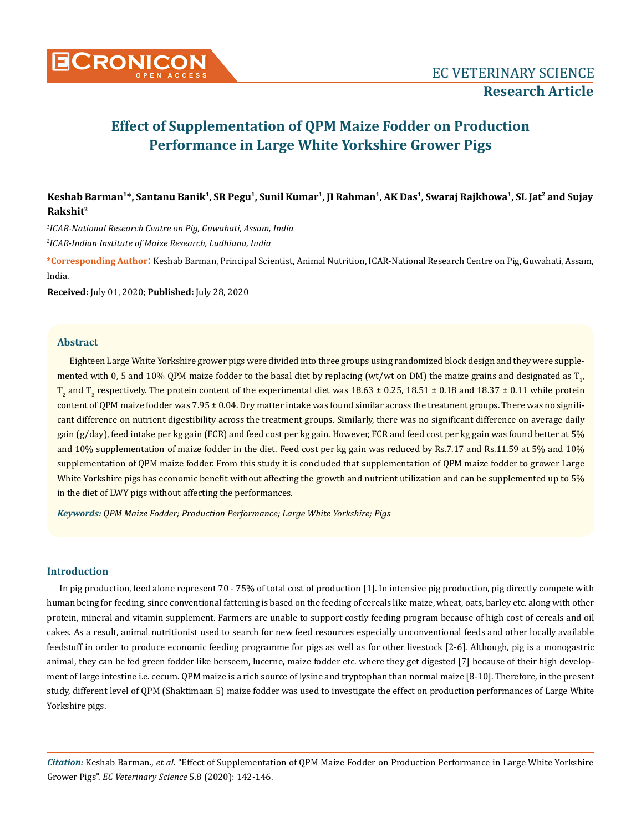

**Keshab Barman1\*, Santanu Banik1, SR Pegu1, Sunil Kumar1, JI Rahman1, AK Das1, Swaraj Rajkhowa1, SL Jat2 and Sujay Rakshit2**

*1 ICAR-National Research Centre on Pig, Guwahati, Assam, India 2 ICAR-Indian Institute of Maize Research, Ludhiana, India*

**\*Corresponding Author**: Keshab Barman, Principal Scientist, Animal Nutrition, ICAR-National Research Centre on Pig, Guwahati, Assam, India.

**Received:** July 01, 2020; **Published:** July 28, 2020

## **Abstract**

Eighteen Large White Yorkshire grower pigs were divided into three groups using randomized block design and they were supplemented with 0, 5 and 10% QPM maize fodder to the basal diet by replacing (wt/wt on DM) the maize grains and designated as  $\mathrm{T}_{\mathrm{p}}$  $T_2$  and  $T_3$  respectively. The protein content of the experimental diet was  $18.63 \pm 0.25$ ,  $18.51 \pm 0.18$  and  $18.37 \pm 0.11$  while protein content of QPM maize fodder was  $7.95 \pm 0.04$ . Dry matter intake was found similar across the treatment groups. There was no significant difference on nutrient digestibility across the treatment groups. Similarly, there was no significant difference on average daily gain (g/day), feed intake per kg gain (FCR) and feed cost per kg gain. However, FCR and feed cost per kg gain was found better at 5% and 10% supplementation of maize fodder in the diet. Feed cost per kg gain was reduced by Rs.7.17 and Rs.11.59 at 5% and 10% supplementation of QPM maize fodder. From this study it is concluded that supplementation of QPM maize fodder to grower Large White Yorkshire pigs has economic benefit without affecting the growth and nutrient utilization and can be supplemented up to 5% in the diet of LWY pigs without affecting the performances.

*Keywords: QPM Maize Fodder; Production Performance; Large White Yorkshire; Pigs*

### **Introduction**

In pig production, feed alone represent 70 - 75% of total cost of production [1]. In intensive pig production, pig directly compete with human being for feeding, since conventional fattening is based on the feeding of cereals like maize, wheat, oats, barley etc. along with other protein, mineral and vitamin supplement. Farmers are unable to support costly feeding program because of high cost of cereals and oil cakes. As a result, animal nutritionist used to search for new feed resources especially unconventional feeds and other locally available feedstuff in order to produce economic feeding programme for pigs as well as for other livestock [2-6]. Although, pig is a monogastric animal, they can be fed green fodder like berseem, lucerne, maize fodder etc. where they get digested [7] because of their high development of large intestine i.e. cecum. QPM maize is a rich source of lysine and tryptophan than normal maize [8-10]. Therefore, in the present study, different level of QPM (Shaktimaan 5) maize fodder was used to investigate the effect on production performances of Large White Yorkshire pigs.

*Citation:* Keshab Barman., *et al*. "Effect of Supplementation of QPM Maize Fodder on Production Performance in Large White Yorkshire Grower Pigs". *EC Veterinary Science* 5.8 (2020): 142-146.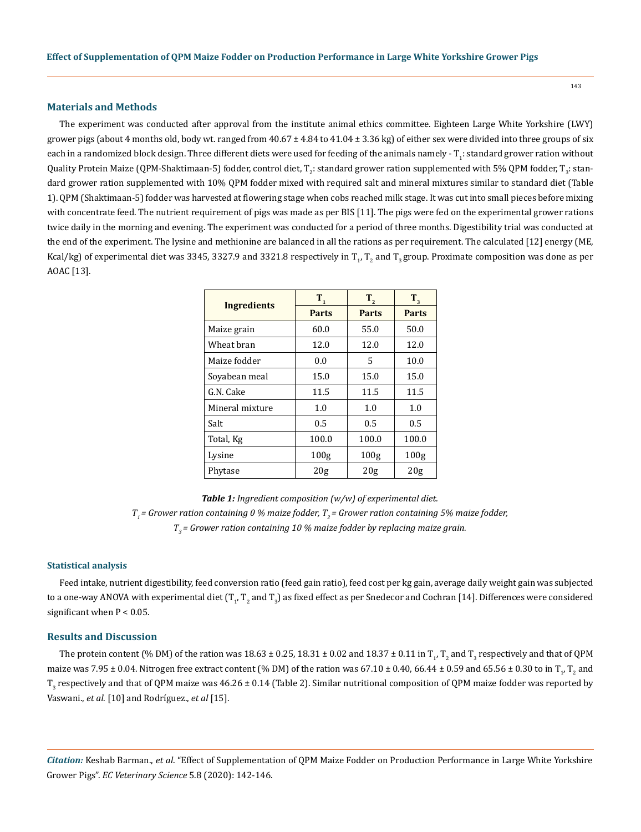#### **Materials and Methods**

The experiment was conducted after approval from the institute animal ethics committee. Eighteen Large White Yorkshire (LWY) grower pigs (about 4 months old, body wt. ranged from  $40.67 \pm 4.84$  to  $41.04 \pm 3.36$  kg) of either sex were divided into three groups of six each in a randomized block design. Three different diets were used for feeding of the animals namely - T<sub>1</sub>: standard grower ration without Quality Protein Maize (QPM-Shaktimaan-5) fodder, control diet, T<sub>2</sub>: standard grower ration supplemented with 5% QPM fodder, T<sub>3</sub>: standard grower ration supplemented with 10% QPM fodder mixed with required salt and mineral mixtures similar to standard diet (Table 1). QPM (Shaktimaan-5) fodder was harvested at flowering stage when cobs reached milk stage. It was cut into small pieces before mixing with concentrate feed. The nutrient requirement of pigs was made as per BIS [11]. The pigs were fed on the experimental grower rations twice daily in the morning and evening. The experiment was conducted for a period of three months. Digestibility trial was conducted at the end of the experiment. The lysine and methionine are balanced in all the rations as per requirement. The calculated [12] energy (ME, Kcal/kg) of experimental diet was 3345, 3327.9 and 3321.8 respectively in  $T_p$   $T_2$  and  $T_3$  group. Proximate composition was done as per AOAC [13].

|                 | $T_{1}$          | $T_{2}$      | $T_{3}$          |  |
|-----------------|------------------|--------------|------------------|--|
| Ingredients     | <b>Parts</b>     | <b>Parts</b> | <b>Parts</b>     |  |
| Maize grain     | 60.0             | 55.0         | 50.0             |  |
| Wheat hran      | 12.0             | 12.0         | 12.0             |  |
| Maize fodder    | 0.0              | 5            | 10.0             |  |
| Sovabean meal   | 15.0             | 15.0         | 15.0             |  |
| G.N. Cake       | 11.5             | 11.5         | 11.5             |  |
| Mineral mixture | 1.0              | 1.0          | 1.0              |  |
| Salt            | 0.5              | 0.5          | 0.5              |  |
| Total, Kg       | 100.0            | 100.0        | 100.0            |  |
| Lysine          | 100 <sub>g</sub> | 100g         | 100 <sub>g</sub> |  |
| Phytase         | 20g              | 20g          | 20g              |  |

*Table 1: Ingredient composition (w/w) of experimental diet.*  $T_i$  = Grower ration containing 0 % maize fodder,  $T_i$  = Grower ration containing 5% maize fodder, *T3 = Grower ration containing 10 % maize fodder by replacing maize grain.*

#### **Statistical analysis**

Feed intake, nutrient digestibility, feed conversion ratio (feed gain ratio), feed cost per kg gain, average daily weight gain was subjected to a one-way ANOVA with experimental diet (T<sub>1</sub>, T<sub>2</sub> and T<sub>3</sub>) as fixed effect as per Snedecor and Cochran [14]. Differences were considered significant when  $P < 0.05$ .

## **Results and Discussion**

The protein content (% DM) of the ration was  $18.63 \pm 0.25, 18.31 \pm 0.02$  and  $18.37 \pm 0.11$  in  $\rm T_p$   $\rm T_2$  and  $\rm T_3$  respectively and that of QPM maize was 7.95 ± 0.04. Nitrogen free extract content (% DM) of the ration was 67.10 ± 0.40, 66.44 ± 0.59 and 65.56 ± 0.30 to in T<sub>1</sub>, T<sub>2</sub> and  $\rm T_3$  respectively and that of QPM maize was 46.26 ± 0.14 (Table 2). Similar nutritional composition of QPM maize fodder was reported by Vaswani., *et al*. [10] and Rodríguez., *et al* [15].

*Citation:* Keshab Barman., *et al*. "Effect of Supplementation of QPM Maize Fodder on Production Performance in Large White Yorkshire Grower Pigs". *EC Veterinary Science* 5.8 (2020): 142-146.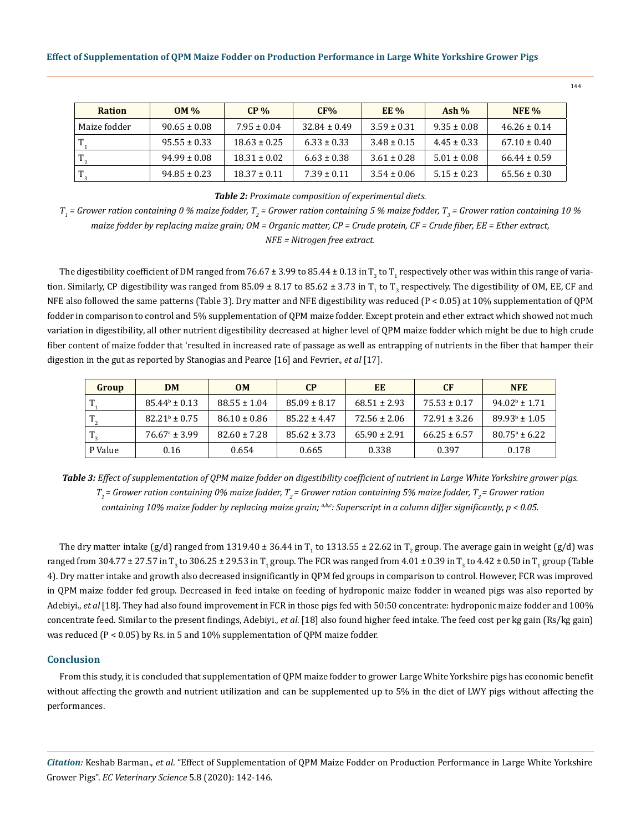| <b>Ration</b> | $OM\%$           | $CP\%$           | CF%              | EE%             | Ash $%$         | <b>NFE</b> %     |
|---------------|------------------|------------------|------------------|-----------------|-----------------|------------------|
| Maize fodder  | $90.65 \pm 0.08$ | $7.95 \pm 0.04$  | $32.84 \pm 0.49$ | $3.59 \pm 0.31$ | $9.35 \pm 0.08$ | $46.26 \pm 0.14$ |
|               | $95.55 \pm 0.33$ | $18.63 \pm 0.25$ | $6.33 \pm 0.33$  | $3.48 \pm 0.15$ | $4.45 \pm 0.33$ | $67.10 \pm 0.40$ |
|               | $94.99 \pm 0.08$ | $18.31 \pm 0.02$ | $6.63 \pm 0.38$  | $3.61 \pm 0.28$ | $5.01 \pm 0.08$ | $66.44 \pm 0.59$ |
|               | $94.85 \pm 0.23$ | $18.37 \pm 0.11$ | $7.39 \pm 0.11$  | $3.54 \pm 0.06$ | $5.15 \pm 0.23$ | $65.56 \pm 0.30$ |

*Table 2: Proximate composition of experimental diets.*

 $T_{_1}$  = Grower ration containing 0 % maize fodder,  $T_{_2}$  = Grower ration containing 5 % maize fodder,  $T_{_3}$  = Grower ration containing 10 % *maize fodder by replacing maize grain; OM = Organic matter, CP = Crude protein, CF = Crude fiber, EE = Ether extract, NFE = Nitrogen free extract.*

The digestibility coefficient of DM ranged from  $76.67 \pm 3.99$  to 85.44  $\pm$  0.13 in T<sub>3</sub> to T<sub>1</sub> respectively other was within this range of variation. Similarly, CP digestibility was ranged from 85.09  $\pm$  8.17 to 85.62  $\pm$  3.73 in T<sub>1</sub> to T<sub>3</sub> respectively. The digestibility of OM, EE, CF and NFE also followed the same patterns (Table 3). Dry matter and NFE digestibility was reduced (P < 0.05) at 10% supplementation of QPM fodder in comparison to control and 5% supplementation of QPM maize fodder. Except protein and ether extract which showed not much variation in digestibility, all other nutrient digestibility decreased at higher level of QPM maize fodder which might be due to high crude fiber content of maize fodder that 'resulted in increased rate of passage as well as entrapping of nutrients in the fiber that hamper their digestion in the gut as reported by Stanogias and Pearce [16] and Fevrier., *et al* [17].

| Group        | <b>DM</b>                | OM               | <b>CP</b>        | EE               | <b>CF</b>        | <b>NFE</b>               |
|--------------|--------------------------|------------------|------------------|------------------|------------------|--------------------------|
|              | $85.44b \pm 0.13$        | $88.55 \pm 1.04$ | $85.09 \pm 8.17$ | $68.51 \pm 2.93$ | $75.53 \pm 0.17$ | $94.02^b \pm 1.71$       |
| $T_{\gamma}$ | $82.21^{\circ} \pm 0.75$ | $86.10 \pm 0.86$ | $85.22 \pm 4.47$ | $72.56 \pm 2.06$ | $72.91 \pm 3.26$ | $89.93^{\circ} \pm 1.05$ |
|              | $76.67^{\circ}$ ± 3.99   | $82.60 \pm 7.28$ | $85.62 \pm 3.73$ | $65.90 \pm 2.91$ | $66.25 \pm 6.57$ | $80.75^{\circ} \pm 6.22$ |
| P Value      | 0.16                     | 0.654            | 0.665            | 0.338            | 0.397            | 0.178                    |

*Table 3: Effect of supplementation of QPM maize fodder on digestibility coefficient of nutrient in Large White Yorkshire grower pigs. T<sub>1</sub>* = Grower ration containing 0% maize fodder, *T<sub>2</sub>* = Grower ration containing 5% maize fodder, *T<sub>3</sub>* = Grower ration *containing 10% maize fodder by replacing maize grain; a,b,c: Superscript in a column differ significantly, p < 0.05.*

The dry matter intake (g/d) ranged from 1319.40 ± 36.44 in T<sub>1</sub> to 1313.55 ± 22.62 in T<sub>2</sub> group. The average gain in weight (g/d) was ranged from 304.77  $\pm$  27.57 in T<sub>3</sub> to 306.25  $\pm$  29.53 in T<sub>1</sub> group. The FCR was ranged from 4.01  $\pm$  0.39 in T<sub>3</sub> to 4.42  $\pm$  0.50 in T<sub>1</sub> group (Table 4). Dry matter intake and growth also decreased insignificantly in QPM fed groups in comparison to control. However, FCR was improved in QPM maize fodder fed group. Decreased in feed intake on feeding of hydroponic maize fodder in weaned pigs was also reported by Adebiyi., *et al* [18]. They had also found improvement in FCR in those pigs fed with 50:50 concentrate: hydroponic maize fodder and 100% concentrate feed. Similar to the present findings, Adebiyi., *et al*. [18] also found higher feed intake. The feed cost per kg gain (Rs/kg gain) was reduced (P < 0.05) by Rs. in 5 and 10% supplementation of QPM maize fodder.

#### **Conclusion**

From this study, it is concluded that supplementation of QPM maize fodder to grower Large White Yorkshire pigs has economic benefit without affecting the growth and nutrient utilization and can be supplemented up to 5% in the diet of LWY pigs without affecting the performances.

*Citation:* Keshab Barman., *et al*. "Effect of Supplementation of QPM Maize Fodder on Production Performance in Large White Yorkshire Grower Pigs". *EC Veterinary Science* 5.8 (2020): 142-146.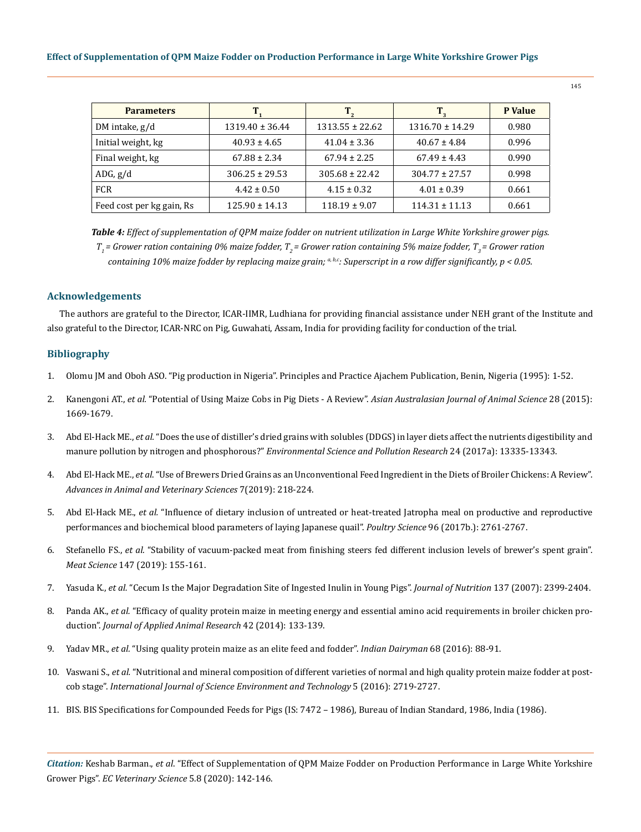| <b>Parameters</b>         |                     | $\mathbf{T}_{2}$    | $T_{\tiny 3}$       | <b>P</b> Value |
|---------------------------|---------------------|---------------------|---------------------|----------------|
| DM intake, $g/d$          | $1319.40 \pm 36.44$ | $1313.55 \pm 22.62$ | $1316.70 \pm 14.29$ | 0.980          |
| Initial weight, kg        | $40.93 \pm 4.65$    | $41.04 \pm 3.36$    | $40.67 \pm 4.84$    | 0.996          |
| Final weight, kg          | $67.88 \pm 2.34$    | $67.94 \pm 2.25$    | $67.49 \pm 4.43$    | 0.990          |
| ADG, g/d                  | $306.25 \pm 29.53$  | $305.68 \pm 22.42$  | $304.77 \pm 27.57$  | 0.998          |
| <b>FCR</b>                | $4.42 \pm 0.50$     | $4.15 \pm 0.32$     | $4.01 \pm 0.39$     | 0.661          |
| Feed cost per kg gain, Rs | $125.90 \pm 14.13$  | $118.19 \pm 9.07$   | $114.31 \pm 11.13$  | 0.661          |

*Table 4: Effect of supplementation of QPM maize fodder on nutrient utilization in Large White Yorkshire grower pigs. T1 = Grower ration containing 0% maize fodder, T2 = Grower ration containing 5% maize fodder, T3 = Grower ration containing 10% maize fodder by replacing maize grain; a, b,c: Superscript in a row differ significantly, p < 0.05.*

# **Acknowledgements**

The authors are grateful to the Director, ICAR-IIMR, Ludhiana for providing financial assistance under NEH grant of the Institute and also grateful to the Director, ICAR-NRC on Pig, Guwahati, Assam, India for providing facility for conduction of the trial.

# **Bibliography**

- 1. Olomu JM and Oboh ASO. "Pig production in Nigeria". Principles and Practice Ajachem Publication, Benin, Nigeria (1995): 1-52.
- 2. Kanengoni AT., *et al.* ["Potential of Using Maize Cobs in Pig Diets A Review".](https://www.researchgate.net/publication/282449540_Potential_of_Using_Maize_Cobs_in_Pig_Diets_-_A_Review) *Asian Australasian Journal of Animal Science* 28 (2015): [1669-1679.](https://www.researchgate.net/publication/282449540_Potential_of_Using_Maize_Cobs_in_Pig_Diets_-_A_Review)
- 3. Abd El-Hack ME., *et al.* ["Does the use of distiller's dried grains with solubles \(DDGS\) in layer diets affect the nutrients digestibility and](https://pubmed.ncbi.nlm.nih.gov/28386888/) manure pollution by nitrogen and phosphorous?" *[Environmental Science and Pollution Research](https://pubmed.ncbi.nlm.nih.gov/28386888/)* 24 (2017a): 13335-13343.
- 4. Abd El-Hack ME., *et al*[. "Use of Brewers Dried Grains as an Unconventional Feed Ingredient in the Diets of Broiler Chickens: A Review".](https://www.researchgate.net/publication/330320070_Use_of_Brewers_Dried_Grains_as_an_Unconventional_Feed_Ingredient_in_the_Diets_of_Broiler_Chickens_A_Review) *[Advances in Animal and Veterinary Sciences](https://www.researchgate.net/publication/330320070_Use_of_Brewers_Dried_Grains_as_an_Unconventional_Feed_Ingredient_in_the_Diets_of_Broiler_Chickens_A_Review)* 7(2019): 218-224.
- 5. Abd El-Hack ME., *et al.* ["Influence of dietary inclusion of untreated or heat-treated Jatropha meal on productive and reproductive](https://pubmed.ncbi.nlm.nih.gov/28419309/) [performances and biochemical blood parameters of laying Japanese quail".](https://pubmed.ncbi.nlm.nih.gov/28419309/) *Poultry Science* 96 (2017b.): 2761-2767.
- 6. Stefanello FS., *et al.* ["Stability of vacuum-packed meat from finishing steers fed different inclusion levels of brewer's spent grain".](https://www.sciencedirect.com/science/article/abs/pii/S0309174017311683) *Meat Science* [147 \(2019\): 155-161.](https://www.sciencedirect.com/science/article/abs/pii/S0309174017311683)
- 7. Yasuda K., *et al.* ["Cecum Is the Major Degradation Site of Ingested Inulin in Young Pigs".](https://pubmed.ncbi.nlm.nih.gov/17951476/) *Journal of Nutrition* 137 (2007): 2399-2404.
- 8. Panda AK., *et al.* ["Efficacy of quality protein maize in meeting energy and essential amino acid requirements in broiler chicken pro](https://www.tandfonline.com/doi/full/10.1080/09712119.2013.822812)duction". *[Journal of Applied Animal Research](https://www.tandfonline.com/doi/full/10.1080/09712119.2013.822812)* 42 (2014): 133-139.
- 9. Yadav MR., *et al.* ["Using quality protein maize as an elite feed and fodder".](https://www.researchgate.net/publication/308899920_Using_Quality_Protein_Maize_as_an_Elite_Feed_and_Fodder_for_Livestock) *Indian Dairyman* 68 (2016): 88-91.
- 10. Vaswani S., *et al.* ["Nutritional and mineral composition of different varieties of normal and high quality protein maize fodder at post](https://www.researchgate.net/publication/309669483_NUTRITIONAL_AND_MINERAL_COMPOSITION_OF_DIFFERENT_VARIETIES_OF_NORMAL_AND_HIGH_QUALITY_PROTEIN_MAIZE_FODDER_AT_POST-COB_STAGE)cob stage". *[International Journal of Science Environment and Technology](https://www.researchgate.net/publication/309669483_NUTRITIONAL_AND_MINERAL_COMPOSITION_OF_DIFFERENT_VARIETIES_OF_NORMAL_AND_HIGH_QUALITY_PROTEIN_MAIZE_FODDER_AT_POST-COB_STAGE)* 5 (2016): 2719-2727.
- 11. BIS. BIS Specifications for Compounded Feeds for Pigs (IS: 7472 1986), Bureau of Indian Standard, 1986, India (1986).

*Citation:* Keshab Barman., *et al*. "Effect of Supplementation of QPM Maize Fodder on Production Performance in Large White Yorkshire Grower Pigs". *EC Veterinary Science* 5.8 (2020): 142-146.